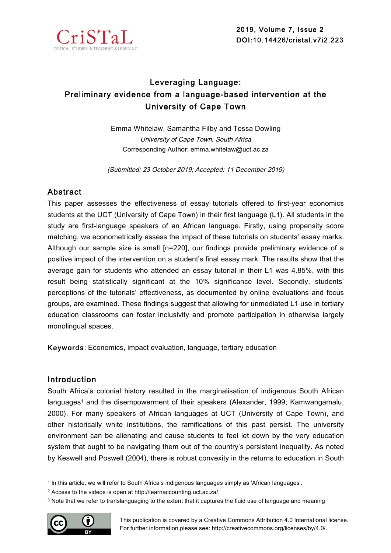

# Leveraging Language: Preliminary evidence from a language-based intervention at the University of Cape Town

Emma Whitelaw, Samantha Filby and Tessa Dowling University of Cape Town, South Africa Corresponding Author: emma.whitelaw@uct.ac.za

(Submitted: 23 October 2019; Accepted: 11 December 2019)

# Abstract

This paper assesses the effectiveness of essay tutorials offered to first-year economics students at the UCT (University of Cape Town) in their first language (L1). All students in the study are first-language speakers of an African language. Firstly, using propensity score matching, we econometrically assess the impact of these tutorials on students' essay marks. Although our sample size is small [n=220], our findings provide preliminary evidence of a positive impact of the intervention on a student's final essay mark. The results show that the average gain for students who attended an essay tutorial in their L1 was 4.85%, with this result being statistically significant at the 10% significance level. Secondly, students' perceptions of the tutorials' effectiveness, as documented by online evaluations and focus groups, are examined. These findings suggest that allowing for unmediated L1 use in tertiary education classrooms can foster inclusivity and promote participation in otherwise largely monolingual spaces.

Keywords: Economics, impact evaluation, language, tertiary education

# Introduction

South Africa's colonial history resulted in the marginalisation of indigenous South African languages<sup>1</sup> and the disempowerment of their speakers (Alexander, 1999; Kamwangamalu, 2000). For many speakers of African languages at UCT (University of Cape Town), and other historically white institutions, the ramifications of this past persist. The university environment can be alienating and cause students to feel let down by the very education system that ought to be navigating them out of the country's persistent inequality. As noted by Keswell and Poswell (2004), there is robust convexity in the returns to education in South

<sup>3</sup> Note that we refer to translanguaging to the extent that it captures the fluid use of language and meaning



 $\overline{a}$ 

<sup>1</sup> In this article, we will refer to South Africa's indigenous languages simply as 'African languages'.

<sup>2</sup> Access to the videos is open at http://learnaccounting.uct.ac.za/.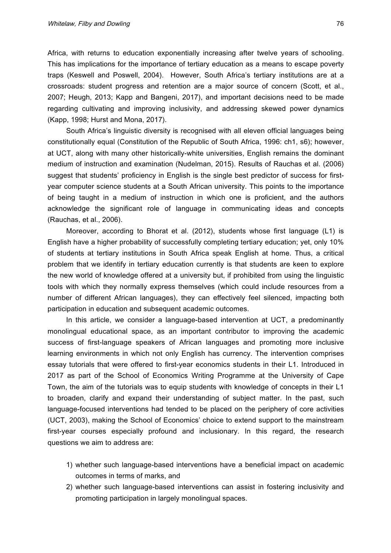Africa, with returns to education exponentially increasing after twelve years of schooling. This has implications for the importance of tertiary education as a means to escape poverty traps (Keswell and Poswell, 2004). However, South Africa's tertiary institutions are at a crossroads: student progress and retention are a major source of concern (Scott, et al., 2007; Heugh, 2013; Kapp and Bangeni, 2017), and important decisions need to be made regarding cultivating and improving inclusivity, and addressing skewed power dynamics (Kapp, 1998; Hurst and Mona, 2017).

South Africa's linguistic diversity is recognised with all eleven official languages being constitutionally equal (Constitution of the Republic of South Africa, 1996: ch1, s6); however, at UCT, along with many other historically-white universities, English remains the dominant medium of instruction and examination (Nudelman, 2015). Results of Rauchas et al. (2006) suggest that students' proficiency in English is the single best predictor of success for firstyear computer science students at a South African university. This points to the importance of being taught in a medium of instruction in which one is proficient, and the authors acknowledge the significant role of language in communicating ideas and concepts (Rauchas, et al., 2006).

Moreover, according to Bhorat et al. (2012), students whose first language (L1) is English have a higher probability of successfully completing tertiary education; yet, only 10% of students at tertiary institutions in South Africa speak English at home. Thus, a critical problem that we identify in tertiary education currently is that students are keen to explore the new world of knowledge offered at a university but, if prohibited from using the linguistic tools with which they normally express themselves (which could include resources from a number of different African languages), they can effectively feel silenced, impacting both participation in education and subsequent academic outcomes.

In this article, we consider a language-based intervention at UCT, a predominantly monolingual educational space, as an important contributor to improving the academic success of first-language speakers of African languages and promoting more inclusive learning environments in which not only English has currency. The intervention comprises essay tutorials that were offered to first-year economics students in their L1. Introduced in 2017 as part of the School of Economics Writing Programme at the University of Cape Town, the aim of the tutorials was to equip students with knowledge of concepts in their L1 to broaden, clarify and expand their understanding of subject matter. In the past, such language-focused interventions had tended to be placed on the periphery of core activities (UCT, 2003), making the School of Economics' choice to extend support to the mainstream first-year courses especially profound and inclusionary. In this regard, the research questions we aim to address are:

- 1) whether such language-based interventions have a beneficial impact on academic outcomes in terms of marks, and
- 2) whether such language-based interventions can assist in fostering inclusivity and promoting participation in largely monolingual spaces.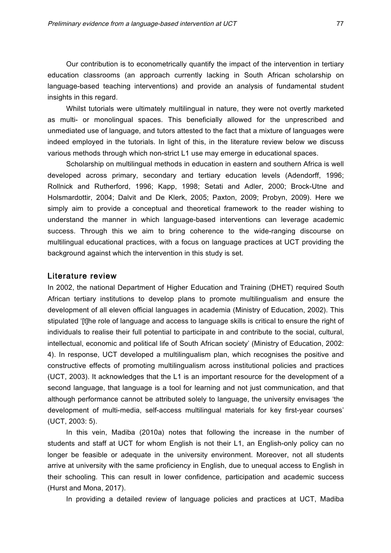Our contribution is to econometrically quantify the impact of the intervention in tertiary education classrooms (an approach currently lacking in South African scholarship on language-based teaching interventions) and provide an analysis of fundamental student insights in this regard.

Whilst tutorials were ultimately multilingual in nature, they were not overtly marketed as multi- or monolingual spaces. This beneficially allowed for the unprescribed and unmediated use of language, and tutors attested to the fact that a mixture of languages were indeed employed in the tutorials. In light of this, in the literature review below we discuss various methods through which non-strict L1 use may emerge in educational spaces.

Scholarship on multilingual methods in education in eastern and southern Africa is well developed across primary, secondary and tertiary education levels (Adendorff, 1996; Rollnick and Rutherford, 1996; Kapp, 1998; Setati and Adler, 2000; Brock-Utne and Holsmardottir, 2004; Dalvit and De Klerk, 2005; Paxton, 2009; Probyn, 2009). Here we simply aim to provide a conceptual and theoretical framework to the reader wishing to understand the manner in which language-based interventions can leverage academic success. Through this we aim to bring coherence to the wide-ranging discourse on multilingual educational practices, with a focus on language practices at UCT providing the background against which the intervention in this study is set.

#### Literature review

In 2002, the national Department of Higher Education and Training (DHET) required South African tertiary institutions to develop plans to promote multilingualism and ensure the development of all eleven official languages in academia (Ministry of Education, 2002). This stipulated '[t]he role of language and access to language skills is critical to ensure the right of individuals to realise their full potential to participate in and contribute to the social, cultural, intellectual, economic and political life of South African society' (Ministry of Education, 2002: 4). In response, UCT developed a multilingualism plan, which recognises the positive and constructive effects of promoting multilingualism across institutional policies and practices (UCT, 2003). It acknowledges that the L1 is an important resource for the development of a second language, that language is a tool for learning and not just communication, and that although performance cannot be attributed solely to language, the university envisages 'the development of multi-media, self-access multilingual materials for key first-year courses' (UCT, 2003: 5).

In this vein, Madiba (2010a) notes that following the increase in the number of students and staff at UCT for whom English is not their L1, an English-only policy can no longer be feasible or adequate in the university environment. Moreover, not all students arrive at university with the same proficiency in English, due to unequal access to English in their schooling. This can result in lower confidence, participation and academic success (Hurst and Mona, 2017).

In providing a detailed review of language policies and practices at UCT, Madiba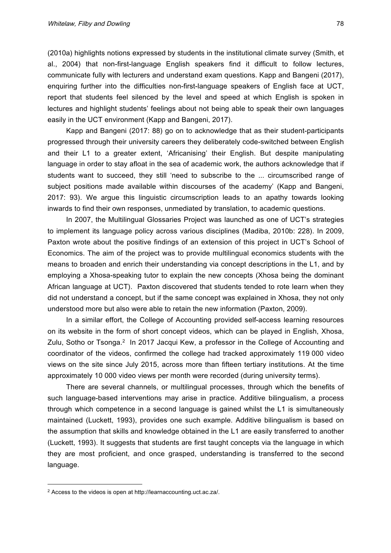(2010a) highlights notions expressed by students in the institutional climate survey (Smith, et al., 2004) that non-first-language English speakers find it difficult to follow lectures, communicate fully with lecturers and understand exam questions. Kapp and Bangeni (2017), enquiring further into the difficulties non-first-language speakers of English face at UCT, report that students feel silenced by the level and speed at which English is spoken in lectures and highlight students' feelings about not being able to speak their own languages easily in the UCT environment (Kapp and Bangeni, 2017).

Kapp and Bangeni (2017: 88) go on to acknowledge that as their student-participants progressed through their university careers they deliberately code-switched between English and their L1 to a greater extent, 'Africanising' their English. But despite manipulating language in order to stay afloat in the sea of academic work, the authors acknowledge that if students want to succeed, they still 'need to subscribe to the ... circumscribed range of subject positions made available within discourses of the academy' (Kapp and Bangeni, 2017: 93). We argue this linguistic circumscription leads to an apathy towards looking inwards to find their own responses, unmediated by translation, to academic questions.

In 2007, the Multilingual Glossaries Project was launched as one of UCT's strategies to implement its language policy across various disciplines (Madiba, 2010b: 228). In 2009, Paxton wrote about the positive findings of an extension of this project in UCT's School of Economics. The aim of the project was to provide multilingual economics students with the means to broaden and enrich their understanding via concept descriptions in the L1, and by employing a Xhosa-speaking tutor to explain the new concepts (Xhosa being the dominant African language at UCT). Paxton discovered that students tended to rote learn when they did not understand a concept, but if the same concept was explained in Xhosa, they not only understood more but also were able to retain the new information (Paxton, 2009).

In a similar effort, the College of Accounting provided self-access learning resources on its website in the form of short concept videos, which can be played in English, Xhosa, Zulu, Sotho or Tsonga.<sup>2</sup> In 2017 Jacqui Kew, a professor in the College of Accounting and coordinator of the videos, confirmed the college had tracked approximately 119 000 video views on the site since July 2015, across more than fifteen tertiary institutions. At the time approximately 10 000 video views per month were recorded (during university terms).

There are several channels, or multilingual processes, through which the benefits of such language-based interventions may arise in practice. Additive bilingualism, a process through which competence in a second language is gained whilst the L1 is simultaneously maintained (Luckett, 1993), provides one such example. Additive bilingualism is based on the assumption that skills and knowledge obtained in the L1 are easily transferred to another (Luckett, 1993). It suggests that students are first taught concepts via the language in which they are most proficient, and once grasped, understanding is transferred to the second language.

 $\overline{a}$ 

<sup>2</sup> Access to the videos is open at http://learnaccounting.uct.ac.za/.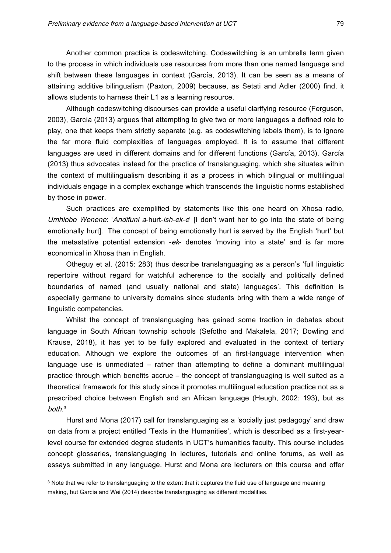Another common practice is codeswitching. Codeswitching is an umbrella term given to the process in which individuals use resources from more than one named language and shift between these languages in context (García, 2013). It can be seen as a means of attaining additive bilingualism (Paxton, 2009) because, as Setati and Adler (2000) find, it allows students to harness their L1 as a learning resource.

Although codeswitching discourses can provide a useful clarifying resource (Ferguson, 2003), García (2013) argues that attempting to give two or more languages a defined role to play, one that keeps them strictly separate (e.g. as codeswitching labels them), is to ignore the far more fluid complexities of languages employed. It is to assume that different languages are used in different domains and for different functions (García, 2013). García (2013) thus advocates instead for the practice of translanguaging, which she situates within the context of multilingualism describing it as a process in which bilingual or multilingual individuals engage in a complex exchange which transcends the linguistic norms established by those in power.

Such practices are exemplified by statements like this one heard on Xhosa radio, Umhlobo Wenene: 'Andifuni a-hurt-ish-ek-e' [I don't want her to go into the state of being emotionally hurt]. The concept of being emotionally hurt is served by the English 'hurt' but the metastative potential extension -ek- denotes 'moving into a state' and is far more economical in Xhosa than in English.

Otheguy et al. (2015: 283) thus describe translanguaging as a person's 'full linguistic repertoire without regard for watchful adherence to the socially and politically defined boundaries of named (and usually national and state) languages'. This definition is especially germane to university domains since students bring with them a wide range of linguistic competencies.

Whilst the concept of translanguaging has gained some traction in debates about language in South African township schools (Sefotho and Makalela, 2017; Dowling and Krause, 2018), it has yet to be fully explored and evaluated in the context of tertiary education. Although we explore the outcomes of an first-language intervention when language use is unmediated – rather than attempting to define a dominant multilingual practice through which benefits accrue – the concept of translanguaging is well suited as a theoretical framework for this study since it promotes multilingual education practice not as a prescribed choice between English and an African language (Heugh, 2002: 193), but as both. 3

Hurst and Mona (2017) call for translanguaging as a 'socially just pedagogy' and draw on data from a project entitled 'Texts in the Humanities', which is described as a first-yearlevel course for extended degree students in UCT's humanities faculty. This course includes concept glossaries, translanguaging in lectures, tutorials and online forums, as well as essays submitted in any language. Hurst and Mona are lecturers on this course and offer

 $\overline{a}$ 

<sup>3</sup> Note that we refer to translanguaging to the extent that it captures the fluid use of language and meaning making, but Garcia and Wei (2014) describe translanguaging as different modalities.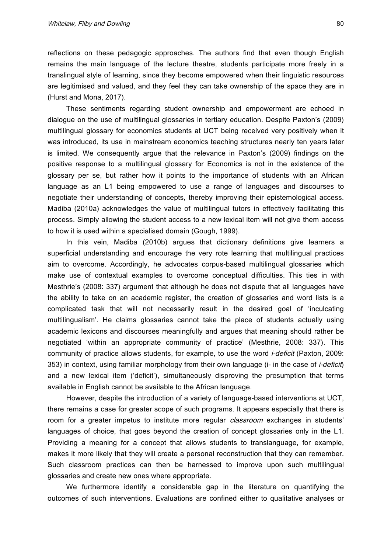reflections on these pedagogic approaches. The authors find that even though English remains the main language of the lecture theatre, students participate more freely in a translingual style of learning, since they become empowered when their linguistic resources are legitimised and valued, and they feel they can take ownership of the space they are in (Hurst and Mona, 2017).

These sentiments regarding student ownership and empowerment are echoed in dialogue on the use of multilingual glossaries in tertiary education. Despite Paxton's (2009) multilingual glossary for economics students at UCT being received very positively when it was introduced, its use in mainstream economics teaching structures nearly ten years later is limited. We consequently argue that the relevance in Paxton's (2009) findings on the positive response to a multilingual glossary for Economics is not in the existence of the glossary per se, but rather how it points to the importance of students with an African language as an L1 being empowered to use a range of languages and discourses to negotiate their understanding of concepts, thereby improving their epistemological access. Madiba (2010a) acknowledges the value of multilingual tutors in effectively facilitating this process. Simply allowing the student access to a new lexical item will not give them access to how it is used within a specialised domain (Gough, 1999).

In this vein, Madiba (2010b) argues that dictionary definitions give learners a superficial understanding and encourage the very rote learning that multilingual practices aim to overcome. Accordingly, he advocates corpus-based multilingual glossaries which make use of contextual examples to overcome conceptual difficulties. This ties in with Mesthrie's (2008: 337) argument that although he does not dispute that all languages have the ability to take on an academic register, the creation of glossaries and word lists is a complicated task that will not necessarily result in the desired goal of 'inculcating multilingualism'. He claims glossaries cannot take the place of students actually using academic lexicons and discourses meaningfully and argues that meaning should rather be negotiated 'within an appropriate community of practice' (Mesthrie, 2008: 337). This community of practice allows students, for example, to use the word *i-deficit* (Paxton, 2009: 353) in context, using familiar morphology from their own language (i- in the case of *i-deficit*) and a new lexical item ('deficit'), simultaneously disproving the presumption that terms available in English cannot be available to the African language.

However, despite the introduction of a variety of language-based interventions at UCT, there remains a case for greater scope of such programs. It appears especially that there is room for a greater impetus to institute more regular *classroom* exchanges in students' languages of choice, that goes beyond the creation of concept glossaries only in the L1. Providing a meaning for a concept that allows students to translanguage, for example, makes it more likely that they will create a personal reconstruction that they can remember. Such classroom practices can then be harnessed to improve upon such multilingual glossaries and create new ones where appropriate.

We furthermore identify a considerable gap in the literature on quantifying the outcomes of such interventions. Evaluations are confined either to qualitative analyses or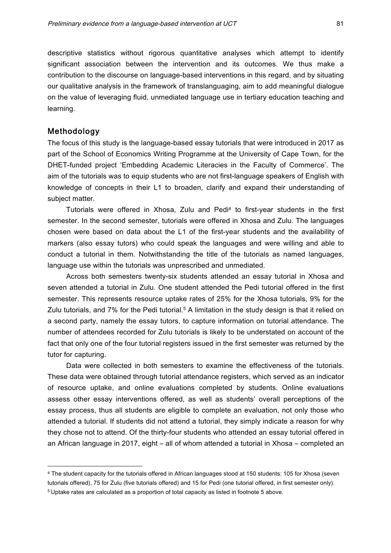descriptive statistics without rigorous quantitative analyses which attempt to identify significant association between the intervention and its outcomes. We thus make a contribution to the discourse on language-based interventions in this regard, and by situating our qualitative analysis in the framework of translanguaging, aim to add meaningful dialogue on the value of leveraging fluid, unmediated language use in tertiary education teaching and learning.

### Methodology

 $\overline{a}$ 

The focus of this study is the language-based essay tutorials that were introduced in 2017 as part of the School of Economics Writing Programme at the University of Cape Town, for the DHET-funded project 'Embedding Academic Literacies in the Faculty of Commerce'. The aim of the tutorials was to equip students who are not first-language speakers of English with knowledge of concepts in their L1 to broaden, clarify and expand their understanding of subject matter.

Tutorials were offered in Xhosa, Zulu and Pedi<sup>4</sup> to first-year students in the first semester. In the second semester, tutorials were offered in Xhosa and Zulu. The languages chosen were based on data about the L1 of the first-year students and the availability of markers (also essay tutors) who could speak the languages and were willing and able to conduct a tutorial in them. Notwithstanding the title of the tutorials as named languages, language use within the tutorials was unprescribed and unmediated.

Across both semesters twenty-six students attended an essay tutorial in Xhosa and seven attended a tutorial in Zulu. One student attended the Pedi tutorial offered in the first semester. This represents resource uptake rates of 25% for the Xhosa tutorials, 9% for the Zulu tutorials, and 7% for the Pedi tutorial.<sup>5</sup> A limitation in the study design is that it relied on a second party, namely the essay tutors, to capture information on tutorial attendance. The number of attendees recorded for Zulu tutorials is likely to be understated on account of the fact that only one of the four tutorial registers issued in the first semester was returned by the tutor for capturing.

Data were collected in both semesters to examine the effectiveness of the tutorials. These data were obtained through tutorial attendance registers, which served as an indicator of resource uptake, and online evaluations completed by students. Online evaluations assess other essay interventions offered, as well as students' overall perceptions of the essay process, thus all students are eligible to complete an evaluation, not only those who attended a tutorial. If students did not attend a tutorial, they simply indicate a reason for why they chose not to attend. Of the thirty-four students who attended an essay tutorial offered in an African language in 2017, eight – all of whom attended a tutorial in Xhosa – completed an

<sup>4</sup> The student capacity for the tutorials offered in African languages stood at 150 students: 105 for Xhosa (seven tutorials offered), 75 for Zulu (five tutorials offered) and 15 for Pedi (one tutorial offered, in first semester only). <sup>5</sup> Uptake rates are calculated as a proportion of total capacity as listed in footnote 5 above.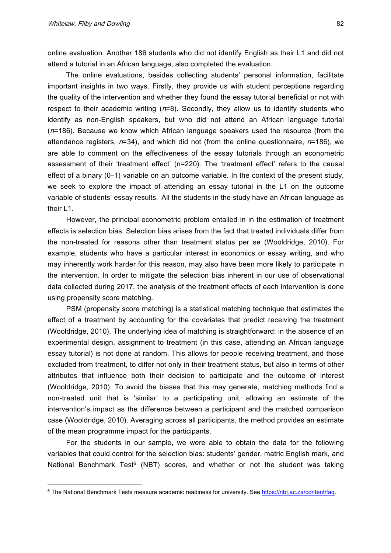$\overline{a}$ 

online evaluation. Another 186 students who did not identify English as their L1 and did not attend a tutorial in an African language, also completed the evaluation.

The online evaluations, besides collecting students' personal information, facilitate important insights in two ways. Firstly, they provide us with student perceptions regarding the quality of the intervention and whether they found the essay tutorial beneficial or not with respect to their academic writing  $(n=8)$ . Secondly, they allow us to identify students who identify as non-English speakers, but who did not attend an African language tutorial  $(n=186)$ . Because we know which African language speakers used the resource (from the attendance registers,  $n=34$ ), and which did not (from the online questionnaire,  $n=186$ ), we are able to comment on the effectiveness of the essay tutorials through an econometric assessment of their 'treatment effect' (n=220). The 'treatment effect' refers to the causal effect of a binary (0–1) variable on an outcome variable. In the context of the present study, we seek to explore the impact of attending an essay tutorial in the L1 on the outcome variable of students' essay results. All the students in the study have an African language as their L1.

However, the principal econometric problem entailed in in the estimation of treatment effects is selection bias. Selection bias arises from the fact that treated individuals differ from the non-treated for reasons other than treatment status per se (Wooldridge, 2010). For example, students who have a particular interest in economics or essay writing, and who may inherently work harder for this reason, may also have been more likely to participate in the intervention. In order to mitigate the selection bias inherent in our use of observational data collected during 2017, the analysis of the treatment effects of each intervention is done using propensity score matching.

PSM (propensity score matching) is a statistical matching technique that estimates the effect of a treatment by accounting for the covariates that predict receiving the treatment (Wooldridge, 2010). The underlying idea of matching is straightforward: in the absence of an experimental design, assignment to treatment (in this case, attending an African language essay tutorial) is not done at random. This allows for people receiving treatment, and those excluded from treatment, to differ not only in their treatment status, but also in terms of other attributes that influence both their decision to participate and the outcome of interest (Wooldridge, 2010). To avoid the biases that this may generate, matching methods find a non-treated unit that is 'similar' to a participating unit, allowing an estimate of the intervention's impact as the difference between a participant and the matched comparison case (Wooldridge, 2010). Averaging across all participants, the method provides an estimate of the mean programme impact for the participants.

For the students in our sample, we were able to obtain the data for the following variables that could control for the selection bias: students' gender, matric English mark, and National Benchmark Test<sup>6</sup> (NBT) scores, and whether or not the student was taking

<sup>6</sup> The National Benchmark Tests measure academic readiness for university. See https://nbt.ac.za/content/faq.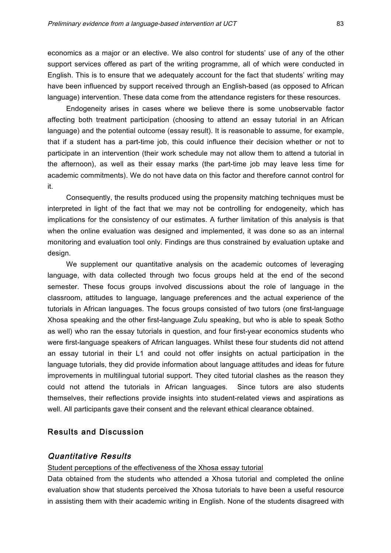economics as a major or an elective. We also control for students' use of any of the other support services offered as part of the writing programme, all of which were conducted in English. This is to ensure that we adequately account for the fact that students' writing may have been influenced by support received through an English-based (as opposed to African language) intervention. These data come from the attendance registers for these resources.

Endogeneity arises in cases where we believe there is some unobservable factor affecting both treatment participation (choosing to attend an essay tutorial in an African language) and the potential outcome (essay result). It is reasonable to assume, for example, that if a student has a part-time job, this could influence their decision whether or not to participate in an intervention (their work schedule may not allow them to attend a tutorial in the afternoon), as well as their essay marks (the part-time job may leave less time for academic commitments). We do not have data on this factor and therefore cannot control for it.

Consequently, the results produced using the propensity matching techniques must be interpreted in light of the fact that we may not be controlling for endogeneity, which has implications for the consistency of our estimates. A further limitation of this analysis is that when the online evaluation was designed and implemented, it was done so as an internal monitoring and evaluation tool only. Findings are thus constrained by evaluation uptake and design.

We supplement our quantitative analysis on the academic outcomes of leveraging language, with data collected through two focus groups held at the end of the second semester. These focus groups involved discussions about the role of language in the classroom, attitudes to language, language preferences and the actual experience of the tutorials in African languages. The focus groups consisted of two tutors (one first-language Xhosa speaking and the other first-language Zulu speaking, but who is able to speak Sotho as well) who ran the essay tutorials in question, and four first-year economics students who were first-language speakers of African languages. Whilst these four students did not attend an essay tutorial in their L1 and could not offer insights on actual participation in the language tutorials, they did provide information about language attitudes and ideas for future improvements in multilingual tutorial support. They cited tutorial clashes as the reason they could not attend the tutorials in African languages. Since tutors are also students themselves, their reflections provide insights into student-related views and aspirations as well. All participants gave their consent and the relevant ethical clearance obtained.

# Results and Discussion

# Quantitative Results

#### Student perceptions of the effectiveness of the Xhosa essay tutorial

Data obtained from the students who attended a Xhosa tutorial and completed the online evaluation show that students perceived the Xhosa tutorials to have been a useful resource in assisting them with their academic writing in English. None of the students disagreed with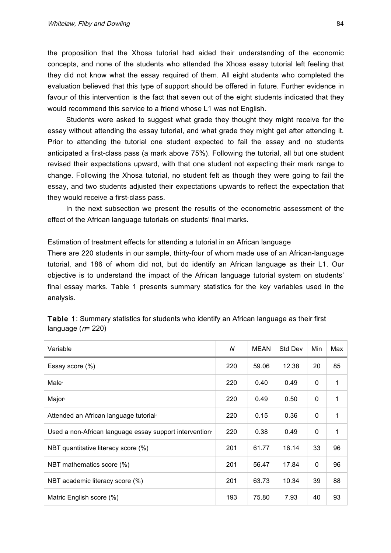the proposition that the Xhosa tutorial had aided their understanding of the economic concepts, and none of the students who attended the Xhosa essay tutorial left feeling that they did not know what the essay required of them. All eight students who completed the evaluation believed that this type of support should be offered in future. Further evidence in favour of this intervention is the fact that seven out of the eight students indicated that they would recommend this service to a friend whose L1 was not English.

Students were asked to suggest what grade they thought they might receive for the essay without attending the essay tutorial, and what grade they might get after attending it. Prior to attending the tutorial one student expected to fail the essay and no students anticipated a first-class pass (a mark above 75%). Following the tutorial, all but one student revised their expectations upward, with that one student not expecting their mark range to change. Following the Xhosa tutorial, no student felt as though they were going to fail the essay, and two students adjusted their expectations upwards to reflect the expectation that they would receive a first-class pass.

In the next subsection we present the results of the econometric assessment of the effect of the African language tutorials on students' final marks.

#### Estimation of treatment effects for attending a tutorial in an African language

There are 220 students in our sample, thirty-four of whom made use of an African-language tutorial, and 186 of whom did not, but do identify an African language as their L1. Our objective is to understand the impact of the African language tutorial system on students' final essay marks. Table 1 presents summary statistics for the key variables used in the analysis.

| Variable                                               | N   | MEAN  | Std Dev | Min          | Max |
|--------------------------------------------------------|-----|-------|---------|--------------|-----|
| Essay score (%)                                        | 220 | 59.06 | 12.38   | 20           | 85  |
| Male <sup>®</sup>                                      | 220 | 0.40  | 0.49    | 0            | 1   |
| Major <sup>®</sup>                                     | 220 | 0.49  | 0.50    | 0            | 1   |
| Attended an African language tutorial                  | 220 | 0.15  | 0.36    | 0            | 1   |
| Used a non-African language essay support intervention | 220 | 0.38  | 0.49    | $\mathbf{0}$ | 1   |
| NBT quantitative literacy score (%)                    | 201 | 61.77 | 16.14   | 33           | 96  |
| NBT mathematics score (%)                              | 201 | 56.47 | 17.84   | 0            | 96  |
| NBT academic literacy score (%)                        | 201 | 63.73 | 10.34   | 39           | 88  |
| Matric English score (%)                               | 193 | 75.80 | 7.93    | 40           | 93  |

Table 1: Summary statistics for students who identify an African language as their first language  $(n= 220)$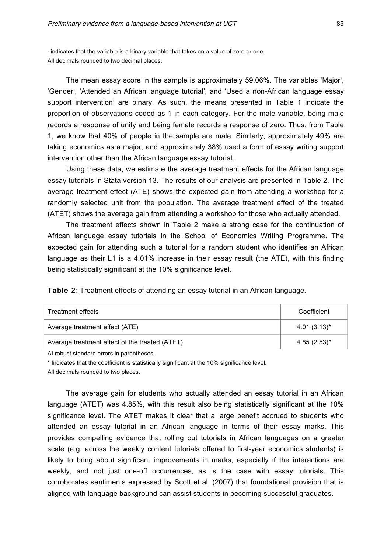$\cdot$  indicates that the variable is a binary variable that takes on a value of zero or one. All decimals rounded to two decimal places.

The mean essay score in the sample is approximately 59.06%. The variables 'Major', 'Gender', 'Attended an African language tutorial', and 'Used a non-African language essay support intervention' are binary. As such, the means presented in Table 1 indicate the proportion of observations coded as 1 in each category. For the male variable, being male records a response of unity and being female records a response of zero. Thus, from Table 1, we know that 40% of people in the sample are male. Similarly, approximately 49% are taking economics as a major, and approximately 38% used a form of essay writing support intervention other than the African language essay tutorial.

Using these data, we estimate the average treatment effects for the African language essay tutorials in Stata version 13. The results of our analysis are presented in Table 2. The average treatment effect (ATE) shows the expected gain from attending a workshop for a randomly selected unit from the population. The average treatment effect of the treated (ATET) shows the average gain from attending a workshop for those who actually attended.

The treatment effects shown in Table 2 make a strong case for the continuation of African language essay tutorials in the School of Economics Writing Programme. The expected gain for attending such a tutorial for a random student who identifies an African language as their L1 is a 4.01% increase in their essay result (the ATE), with this finding being statistically significant at the 10% significance level.

| Treatment effects                              | Coefficient      |  |  |
|------------------------------------------------|------------------|--|--|
| Average treatment effect (ATE)                 | $4.01(3.13)^{*}$ |  |  |
| Average treatment effect of the treated (ATET) | $4.85(2.53)^*$   |  |  |

AI robust standard errors in parentheses.

\* Indicates that the coefficient is statistically significant at the 10% significance level.

All decimals rounded to two places.

The average gain for students who actually attended an essay tutorial in an African language (ATET) was 4.85%, with this result also being statistically significant at the 10% significance level. The ATET makes it clear that a large benefit accrued to students who attended an essay tutorial in an African language in terms of their essay marks. This provides compelling evidence that rolling out tutorials in African languages on a greater scale (e.g. across the weekly content tutorials offered to first-year economics students) is likely to bring about significant improvements in marks, especially if the interactions are weekly, and not just one-off occurrences, as is the case with essay tutorials. This corroborates sentiments expressed by Scott et al. (2007) that foundational provision that is aligned with language background can assist students in becoming successful graduates.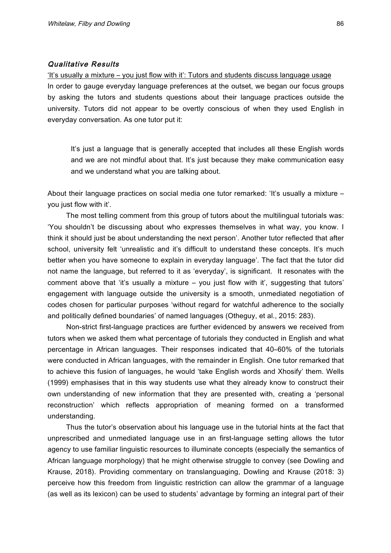#### Qualitative Results

'It's usually a mixture – you just flow with it': Tutors and students discuss language usage In order to gauge everyday language preferences at the outset, we began our focus groups by asking the tutors and students questions about their language practices outside the university. Tutors did not appear to be overtly conscious of when they used English in everyday conversation. As one tutor put it:

It's just a language that is generally accepted that includes all these English words and we are not mindful about that. It's just because they make communication easy and we understand what you are talking about.

About their language practices on social media one tutor remarked: 'It's usually a mixture – you just flow with it'.

The most telling comment from this group of tutors about the multilingual tutorials was: 'You shouldn't be discussing about who expresses themselves in what way, you know. I think it should just be about understanding the next person'. Another tutor reflected that after school, university felt 'unrealistic and it's difficult to understand these concepts. It's much better when you have someone to explain in everyday language'. The fact that the tutor did not name the language, but referred to it as 'everyday', is significant. It resonates with the comment above that 'it's usually a mixture – you just flow with it', suggesting that tutors' engagement with language outside the university is a smooth, unmediated negotiation of codes chosen for particular purposes 'without regard for watchful adherence to the socially and politically defined boundaries' of named languages (Otheguy, et al., 2015: 283).

Non-strict first-language practices are further evidenced by answers we received from tutors when we asked them what percentage of tutorials they conducted in English and what percentage in African languages. Their responses indicated that 40–60% of the tutorials were conducted in African languages, with the remainder in English. One tutor remarked that to achieve this fusion of languages, he would 'take English words and Xhosify' them. Wells (1999) emphasises that in this way students use what they already know to construct their own understanding of new information that they are presented with, creating a 'personal reconstruction' which reflects appropriation of meaning formed on a transformed understanding.

Thus the tutor's observation about his language use in the tutorial hints at the fact that unprescribed and unmediated language use in an first-language setting allows the tutor agency to use familiar linguistic resources to illuminate concepts (especially the semantics of African language morphology) that he might otherwise struggle to convey (see Dowling and Krause, 2018). Providing commentary on translanguaging, Dowling and Krause (2018: 3) perceive how this freedom from linguistic restriction can allow the grammar of a language (as well as its lexicon) can be used to students' advantage by forming an integral part of their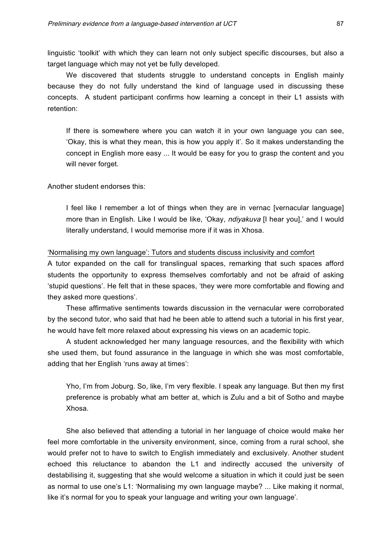linguistic 'toolkit' with which they can learn not only subject specific discourses, but also a target language which may not yet be fully developed.

We discovered that students struggle to understand concepts in English mainly because they do not fully understand the kind of language used in discussing these concepts. A student participant confirms how learning a concept in their L1 assists with retention:

If there is somewhere where you can watch it in your own language you can see, 'Okay, this is what they mean, this is how you apply it'. So it makes understanding the concept in English more easy ... It would be easy for you to grasp the content and you will never forget.

Another student endorses this:

I feel like I remember a lot of things when they are in vernac [vernacular language] more than in English. Like I would be like, 'Okay, *ndiyakuva* [I hear you],' and I would literally understand, I would memorise more if it was in Xhosa.

#### 'Normalising my own language': Tutors and students discuss inclusivity and comfort

A tutor expanded on the call for translingual spaces, remarking that such spaces afford students the opportunity to express themselves comfortably and not be afraid of asking 'stupid questions'. He felt that in these spaces, 'they were more comfortable and flowing and they asked more questions'.

These affirmative sentiments towards discussion in the vernacular were corroborated by the second tutor, who said that had he been able to attend such a tutorial in his first year, he would have felt more relaxed about expressing his views on an academic topic.

A student acknowledged her many language resources, and the flexibility with which she used them, but found assurance in the language in which she was most comfortable, adding that her English 'runs away at times':

Yho, I'm from Joburg. So, like, I'm very flexible. I speak any language. But then my first preference is probably what am better at, which is Zulu and a bit of Sotho and maybe Xhosa.

She also believed that attending a tutorial in her language of choice would make her feel more comfortable in the university environment, since, coming from a rural school, she would prefer not to have to switch to English immediately and exclusively. Another student echoed this reluctance to abandon the L1 and indirectly accused the university of destabilising it, suggesting that she would welcome a situation in which it could just be seen as normal to use one's L1: 'Normalising my own language maybe? ... Like making it normal, like it's normal for you to speak your language and writing your own language'.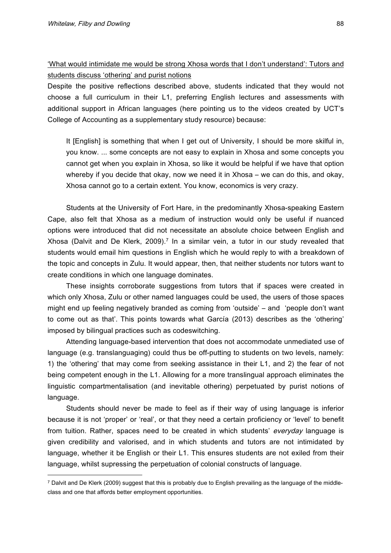$\overline{a}$ 

'What would intimidate me would be strong Xhosa words that I don't understand': Tutors and students discuss 'othering' and purist notions

Despite the positive reflections described above, students indicated that they would not choose a full curriculum in their L1, preferring English lectures and assessments with additional support in African languages (here pointing us to the videos created by UCT's College of Accounting as a supplementary study resource) because:

It [English] is something that when I get out of University, I should be more skilful in, you know. ... some concepts are not easy to explain in Xhosa and some concepts you cannot get when you explain in Xhosa, so like it would be helpful if we have that option whereby if you decide that okay, now we need it in Xhosa – we can do this, and okay, Xhosa cannot go to a certain extent. You know, economics is very crazy.

Students at the University of Fort Hare, in the predominantly Xhosa-speaking Eastern Cape, also felt that Xhosa as a medium of instruction would only be useful if nuanced options were introduced that did not necessitate an absolute choice between English and Xhosa (Dalvit and De Klerk, 2009).<sup>7</sup> In a similar vein, a tutor in our study revealed that students would email him questions in English which he would reply to with a breakdown of the topic and concepts in Zulu. It would appear, then, that neither students nor tutors want to create conditions in which one language dominates.

These insights corroborate suggestions from tutors that if spaces were created in which only Xhosa, Zulu or other named languages could be used, the users of those spaces might end up feeling negatively branded as coming from 'outside' – and 'people don't want to come out as that'. This points towards what García (2013) describes as the 'othering' imposed by bilingual practices such as codeswitching.

Attending language-based intervention that does not accommodate unmediated use of language (e.g. translanguaging) could thus be off-putting to students on two levels, namely: 1) the 'othering' that may come from seeking assistance in their L1, and 2) the fear of not being competent enough in the L1. Allowing for a more translingual approach eliminates the linguistic compartmentalisation (and inevitable othering) perpetuated by purist notions of language.

Students should never be made to feel as if their way of using language is inferior because it is not 'proper' or 'real', or that they need a certain proficiency or 'level' to benefit from tuition. Rather, spaces need to be created in which students' everyday language is given credibility and valorised, and in which students and tutors are not intimidated by language, whether it be English or their L1. This ensures students are not exiled from their language, whilst supressing the perpetuation of colonial constructs of language.

<sup>7</sup> Dalvit and De Klerk (2009) suggest that this is probably due to English prevailing as the language of the middleclass and one that affords better employment opportunities.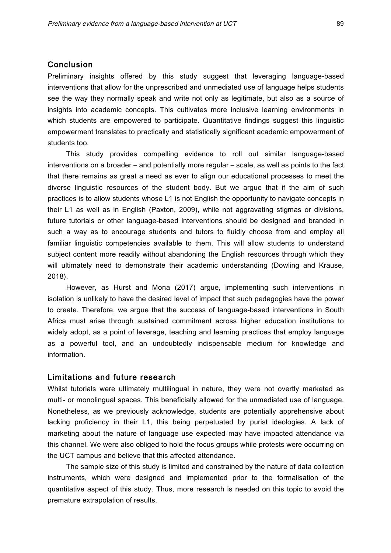# Conclusion

Preliminary insights offered by this study suggest that leveraging language-based interventions that allow for the unprescribed and unmediated use of language helps students see the way they normally speak and write not only as legitimate, but also as a source of insights into academic concepts. This cultivates more inclusive learning environments in which students are empowered to participate. Quantitative findings suggest this linguistic empowerment translates to practically and statistically significant academic empowerment of students too.

This study provides compelling evidence to roll out similar language-based interventions on a broader – and potentially more regular – scale, as well as points to the fact that there remains as great a need as ever to align our educational processes to meet the diverse linguistic resources of the student body. But we argue that if the aim of such practices is to allow students whose L1 is not English the opportunity to navigate concepts in their L1 as well as in English (Paxton, 2009), while not aggravating stigmas or divisions, future tutorials or other language-based interventions should be designed and branded in such a way as to encourage students and tutors to fluidly choose from and employ all familiar linguistic competencies available to them. This will allow students to understand subject content more readily without abandoning the English resources through which they will ultimately need to demonstrate their academic understanding (Dowling and Krause, 2018).

However, as Hurst and Mona (2017) argue, implementing such interventions in isolation is unlikely to have the desired level of impact that such pedagogies have the power to create. Therefore, we argue that the success of language-based interventions in South Africa must arise through sustained commitment across higher education institutions to widely adopt, as a point of leverage, teaching and learning practices that employ language as a powerful tool, and an undoubtedly indispensable medium for knowledge and information.

# Limitations and future research

Whilst tutorials were ultimately multilingual in nature, they were not overtly marketed as multi- or monolingual spaces. This beneficially allowed for the unmediated use of language. Nonetheless, as we previously acknowledge, students are potentially apprehensive about lacking proficiency in their L1, this being perpetuated by purist ideologies. A lack of marketing about the nature of language use expected may have impacted attendance via this channel. We were also obliged to hold the focus groups while protests were occurring on the UCT campus and believe that this affected attendance.

The sample size of this study is limited and constrained by the nature of data collection instruments, which were designed and implemented prior to the formalisation of the quantitative aspect of this study. Thus, more research is needed on this topic to avoid the premature extrapolation of results.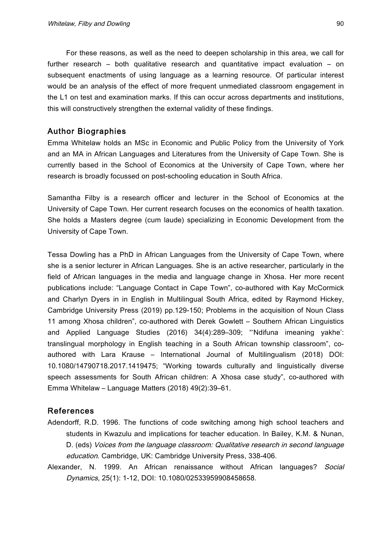For these reasons, as well as the need to deepen scholarship in this area, we call for further research – both qualitative research and quantitative impact evaluation – on subsequent enactments of using language as a learning resource. Of particular interest would be an analysis of the effect of more frequent unmediated classroom engagement in the L1 on test and examination marks. If this can occur across departments and institutions, this will constructively strengthen the external validity of these findings.

# Author Biographies

Emma Whitelaw holds an MSc in Economic and Public Policy from the University of York and an MA in African Languages and Literatures from the University of Cape Town. She is currently based in the School of Economics at the University of Cape Town, where her research is broadly focussed on post-schooling education in South Africa.

Samantha Filby is a research officer and lecturer in the School of Economics at the University of Cape Town. Her current research focuses on the economics of health taxation. She holds a Masters degree (cum laude) specializing in Economic Development from the University of Cape Town.

Tessa Dowling has a PhD in African Languages from the University of Cape Town, where she is a senior lecturer in African Languages. She is an active researcher, particularly in the field of African languages in the media and language change in Xhosa. Her more recent publications include: "Language Contact in Cape Town", co-authored with Kay McCormick and Charlyn Dyers in in English in Multilingual South Africa, edited by Raymond Hickey, Cambridge University Press (2019) pp.129-150; Problems in the acquisition of Noun Class 11 among Xhosa children", co-authored with Derek Gowlett – Southern African Linguistics and Applied Language Studies (2016) 34(4):289–309; "'Ndifuna imeaning yakhe': translingual morphology in English teaching in a South African township classroom", coauthored with Lara Krause – International Journal of Multilingualism (2018) DOI: 10.1080/14790718.2017.1419475; "Working towards culturally and linguistically diverse speech assessments for South African children: A Xhosa case study", co-authored with Emma Whitelaw – Language Matters (2018) 49(2):39–61.

#### References

- Adendorff, R.D. 1996. The functions of code switching among high school teachers and students in Kwazulu and implications for teacher education. In Bailey, K.M. & Nunan, D. (eds) Voices from the language classroom: Qualitative research in second language education. Cambridge, UK: Cambridge University Press, 338-406.
- Alexander, N. 1999. An African renaissance without African languages? Social Dynamics, 25(1): 1-12, DOI: 10.1080/02533959908458658.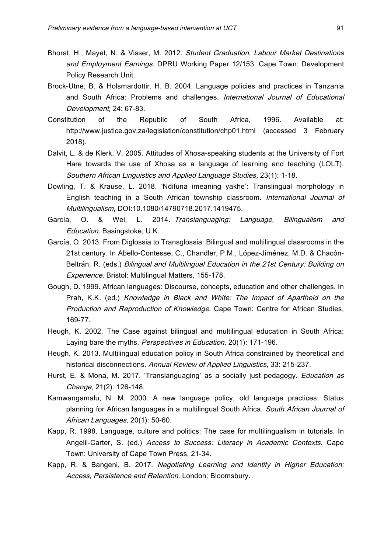- Bhorat, H., Mayet, N. & Visser, M. 2012. Student Graduation, Labour Market Destinations and Employment Earnings. DPRU Working Paper 12/153. Cape Town: Development Policy Research Unit.
- Brock-Utne, B. & Holsmardottir. H. B. 2004. Language policies and practices in Tanzania and South Africa: Problems and challenges. International Journal of Educational Development, 24: 67-83.
- Constitution of the Republic of South Africa, 1996. Available at: http://www.justice.gov.za/legislation/constitution/chp01.html (accessed 3 February 2018).
- Dalvit, L. & de Klerk, V. 2005. Attitudes of Xhosa-speaking students at the University of Fort Hare towards the use of Xhosa as a language of learning and teaching (LOLT). Southern African Linguistics and Applied Language Studies, 23(1): 1-18.
- Dowling, T. & Krause, L. 2018. 'Ndifuna imeaning yakhe': Translingual morphology in English teaching in a South African township classroom. International Journal of Multilingualism, DOI:10.1080/14790718.2017.1419475.
- García, O. & Wei, L. 2014. Translanguaging: Language, Bilingualism and Education. Basingstoke, U.K.
- García, O. 2013. From Diglossia to Transglossia: Bilingual and multilingual classrooms in the 21st century. In Abello-Contesse, C., Chandler, P.M., López-Jiménez, M.D. & Chacón-Beltrán, R. (eds.) Bilingual and Multilingual Education in the 21st Century: Building on Experience. Bristol: Multilingual Matters, 155-178.
- Gough, D. 1999. African languages: Discourse, concepts, education and other challenges. In Prah, K.K. (ed.) Knowledge in Black and White: The Impact of Apartheid on the Production and Reproduction of Knowledge. Cape Town: Centre for African Studies, 169-77.
- Heugh, K. 2002. The Case against bilingual and multilingual education in South Africa: Laying bare the myths. Perspectives in Education, 20(1): 171-196.
- Heugh, K. 2013. Multilingual education policy in South Africa constrained by theoretical and historical disconnections. Annual Review of Applied Linguistics, 33: 215-237.
- Hurst, E. & Mona, M. 2017. 'Translanguaging' as a socially just pedagogy. *Education as* Change, 21(2): 126-148.
- Kamwangamalu, N. M. 2000. A new language policy, old language practices: Status planning for African languages in a multilingual South Africa. South African Journal of African Languages, 20(1): 50-60.
- Kapp, R. 1998. Language, culture and politics: The case for multilingualism in tutorials. In Angelil-Carter, S. (ed.) Access to Success: Literacy in Academic Contexts. Cape Town: University of Cape Town Press, 21-34.
- Kapp, R. & Bangeni, B. 2017. Negotiating Learning and Identity in Higher Education: Access, Persistence and Retention. London: Bloomsbury.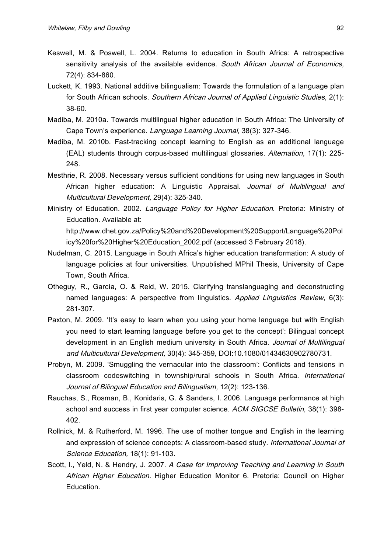- Keswell, M. & Poswell, L. 2004. Returns to education in South Africa: A retrospective sensitivity analysis of the available evidence. South African Journal of Economics, 72(4): 834-860.
- Luckett, K. 1993. National additive bilingualism: Towards the formulation of a language plan for South African schools. Southern African Journal of Applied Linguistic Studies, 2(1): 38-60.
- Madiba, M. 2010a. Towards multilingual higher education in South Africa: The University of Cape Town's experience. Language Learning Journal, 38(3): 327-346.
- Madiba, M. 2010b. Fast-tracking concept learning to English as an additional language (EAL) students through corpus-based multilingual glossaries. Alternation, 17(1): 225- 248.
- Mesthrie, R. 2008. Necessary versus sufficient conditions for using new languages in South African higher education: A Linguistic Appraisal. Journal of Multilingual and Multicultural Development, 29(4): 325-340.
- Ministry of Education. 2002. Language Policy for Higher Education. Pretoria: Ministry of Education. Available at:

http://www.dhet.gov.za/Policy%20and%20Development%20Support/Language%20Pol icy%20for%20Higher%20Education\_2002.pdf (accessed 3 February 2018).

- Nudelman, C. 2015. Language in South Africa's higher education transformation: A study of language policies at four universities. Unpublished MPhil Thesis, University of Cape Town, South Africa.
- Otheguy, R., García, O. & Reid, W. 2015. Clarifying translanguaging and deconstructing named languages: A perspective from linguistics. Applied Linguistics Review, 6(3): 281-307.
- Paxton, M. 2009. 'It's easy to learn when you using your home language but with English you need to start learning language before you get to the concept': Bilingual concept development in an English medium university in South Africa. Journal of Multilingual and Multicultural Development, 30(4): 345-359, DOI:10.1080/01434630902780731.
- Probyn, M. 2009. 'Smuggling the vernacular into the classroom': Conflicts and tensions in classroom codeswitching in township/rural schools in South Africa. International Journal of Bilingual Education and Bilingualism, 12(2): 123-136.
- Rauchas, S., Rosman, B., Konidaris, G. & Sanders, I. 2006. Language performance at high school and success in first year computer science. ACM SIGCSE Bulletin, 38(1): 398-402.
- Rollnick, M. & Rutherford, M. 1996. The use of mother tongue and English in the learning and expression of science concepts: A classroom-based study. International Journal of Science Education, 18(1): 91-103.
- Scott, I., Yeld, N. & Hendry, J. 2007. A Case for Improving Teaching and Learning in South African Higher Education. Higher Education Monitor 6. Pretoria: Council on Higher Education.